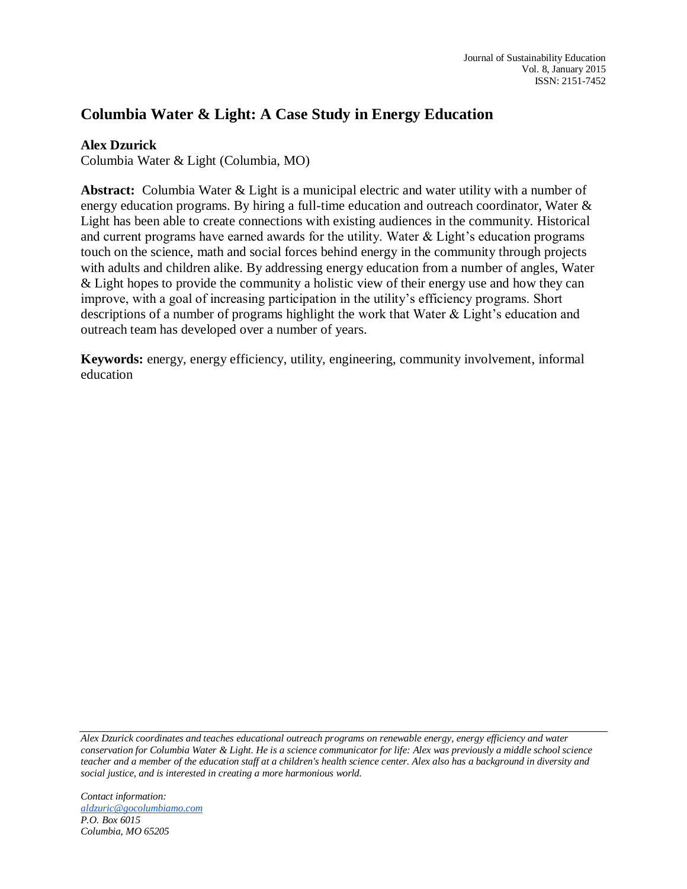# **Columbia Water & Light: A Case Study in Energy Education**

## **Alex Dzurick**

Columbia Water & Light (Columbia, MO)

**Abstract:** Columbia Water & Light is a municipal electric and water utility with a number of energy education programs. By hiring a full-time education and outreach coordinator, Water & Light has been able to create connections with existing audiences in the community. Historical and current programs have earned awards for the utility. Water & Light's education programs touch on the science, math and social forces behind energy in the community through projects with adults and children alike. By addressing energy education from a number of angles, Water & Light hopes to provide the community a holistic view of their energy use and how they can improve, with a goal of increasing participation in the utility's efficiency programs. Short descriptions of a number of programs highlight the work that Water & Light's education and outreach team has developed over a number of years.

**Keywords:** energy, energy efficiency, utility, engineering, community involvement, informal education

*Alex Dzurick coordinates and teaches educational outreach programs on renewable energy, energy efficiency and water conservation for Columbia Water & Light. He is a science communicator for life: Alex was previously a middle school science teacher and a member of the education staff at a children's health science center. Alex also has a background in diversity and social justice, and is interested in creating a more harmonious world.*

*Contact information: [aldzuric@gocolumbiamo.com](mailto:aldzuric@gocolumbiamo.com) P.O. Box 6015 Columbia, MO 65205*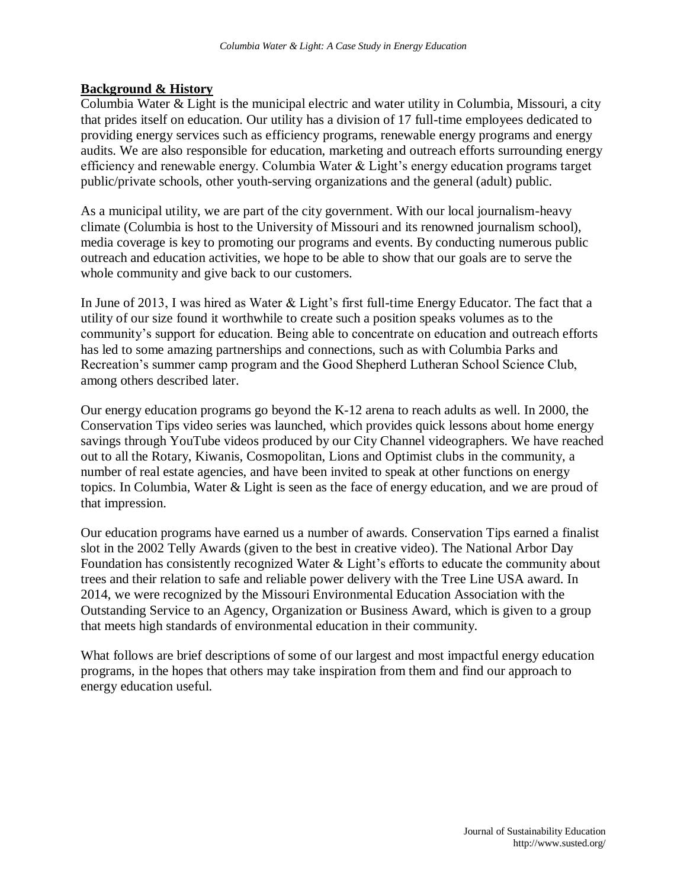### **Background & History**

Columbia Water & Light is the municipal electric and water utility in Columbia, Missouri, a city that prides itself on education. Our utility has a division of 17 full-time employees dedicated to providing energy services such as efficiency programs, renewable energy programs and energy audits. We are also responsible for education, marketing and outreach efforts surrounding energy efficiency and renewable energy. Columbia Water & Light's energy education programs target public/private schools, other youth-serving organizations and the general (adult) public.

As a municipal utility, we are part of the city government. With our local journalism-heavy climate (Columbia is host to the University of Missouri and its renowned journalism school), media coverage is key to promoting our programs and events. By conducting numerous public outreach and education activities, we hope to be able to show that our goals are to serve the whole community and give back to our customers.

In June of 2013, I was hired as Water & Light's first full-time Energy Educator. The fact that a utility of our size found it worthwhile to create such a position speaks volumes as to the community's support for education. Being able to concentrate on education and outreach efforts has led to some amazing partnerships and connections, such as with Columbia Parks and Recreation's summer camp program and the Good Shepherd Lutheran School Science Club, among others described later.

Our energy education programs go beyond the K-12 arena to reach adults as well. In 2000, the Conservation Tips video series was launched, which provides quick lessons about home energy savings through YouTube videos produced by our City Channel videographers. We have reached out to all the Rotary, Kiwanis, Cosmopolitan, Lions and Optimist clubs in the community, a number of real estate agencies, and have been invited to speak at other functions on energy topics. In Columbia, Water & Light is seen as the face of energy education, and we are proud of that impression.

Our education programs have earned us a number of awards. Conservation Tips earned a finalist slot in the 2002 Telly Awards (given to the best in creative video). The National Arbor Day Foundation has consistently recognized Water & Light's efforts to educate the community about trees and their relation to safe and reliable power delivery with the Tree Line USA award. In 2014, we were recognized by the Missouri Environmental Education Association with the Outstanding Service to an Agency, Organization or Business Award, which is given to a group that meets high standards of environmental education in their community.

What follows are brief descriptions of some of our largest and most impactful energy education programs, in the hopes that others may take inspiration from them and find our approach to energy education useful.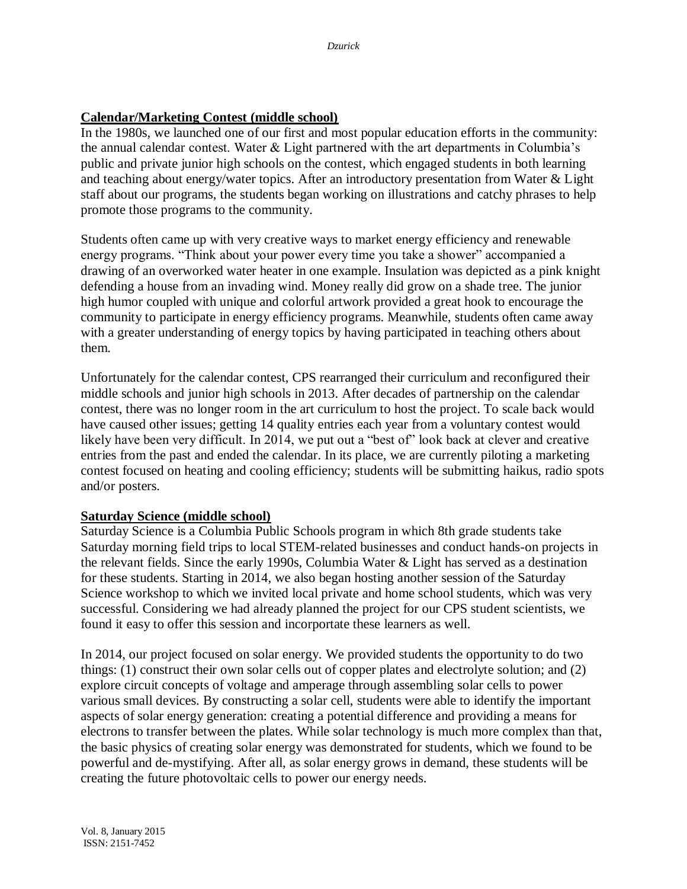# **Calendar/Marketing Contest (middle school)**

In the 1980s, we launched one of our first and most popular education efforts in the community: the annual calendar contest. Water & Light partnered with the art departments in Columbia's public and private junior high schools on the contest, which engaged students in both learning and teaching about energy/water topics. After an introductory presentation from Water & Light staff about our programs, the students began working on illustrations and catchy phrases to help promote those programs to the community.

Students often came up with very creative ways to market energy efficiency and renewable energy programs. "Think about your power every time you take a shower" accompanied a drawing of an overworked water heater in one example. Insulation was depicted as a pink knight defending a house from an invading wind. Money really did grow on a shade tree. The junior high humor coupled with unique and colorful artwork provided a great hook to encourage the community to participate in energy efficiency programs. Meanwhile, students often came away with a greater understanding of energy topics by having participated in teaching others about them.

Unfortunately for the calendar contest, CPS rearranged their curriculum and reconfigured their middle schools and junior high schools in 2013. After decades of partnership on the calendar contest, there was no longer room in the art curriculum to host the project. To scale back would have caused other issues; getting 14 quality entries each year from a voluntary contest would likely have been very difficult. In 2014, we put out a "best of" look back at clever and creative entries from the past and ended the calendar. In its place, we are currently piloting a marketing contest focused on heating and cooling efficiency; students will be submitting haikus, radio spots and/or posters.

#### **Saturday Science (middle school)**

Saturday Science is a Columbia Public Schools program in which 8th grade students take Saturday morning field trips to local STEM-related businesses and conduct hands-on projects in the relevant fields. Since the early 1990s, Columbia Water & Light has served as a destination for these students. Starting in 2014, we also began hosting another session of the Saturday Science workshop to which we invited local private and home school students, which was very successful. Considering we had already planned the project for our CPS student scientists, we found it easy to offer this session and incorportate these learners as well.

In 2014, our project focused on solar energy. We provided students the opportunity to do two things: (1) construct their own solar cells out of copper plates and electrolyte solution; and (2) explore circuit concepts of voltage and amperage through assembling solar cells to power various small devices. By constructing a solar cell, students were able to identify the important aspects of solar energy generation: creating a potential difference and providing a means for electrons to transfer between the plates. While solar technology is much more complex than that, the basic physics of creating solar energy was demonstrated for students, which we found to be powerful and de-mystifying. After all, as solar energy grows in demand, these students will be creating the future photovoltaic cells to power our energy needs.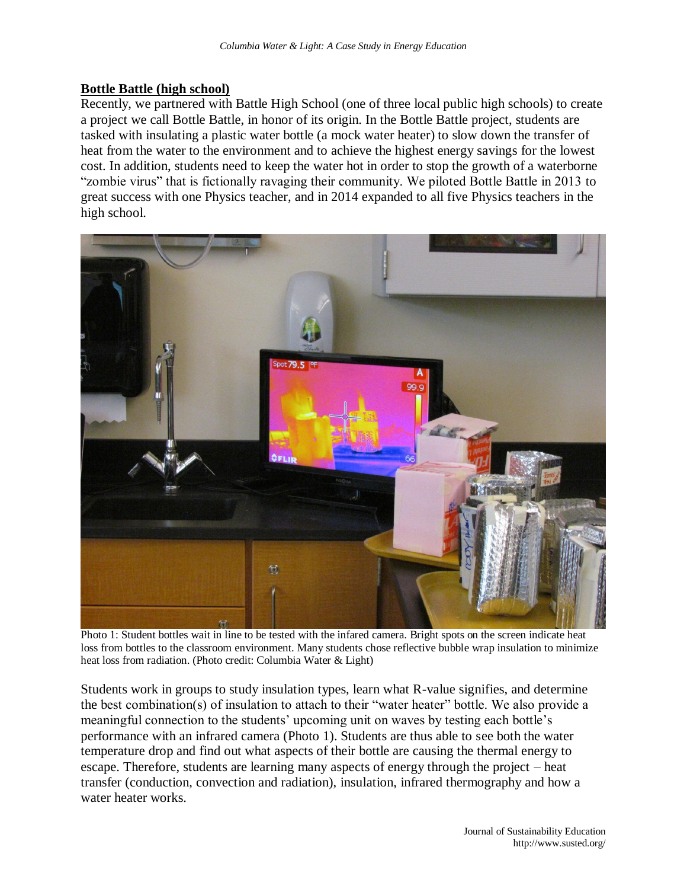### **Bottle Battle (high school)**

Recently, we partnered with Battle High School (one of three local public high schools) to create a project we call Bottle Battle, in honor of its origin. In the Bottle Battle project, students are tasked with insulating a plastic water bottle (a mock water heater) to slow down the transfer of heat from the water to the environment and to achieve the highest energy savings for the lowest cost. In addition, students need to keep the water hot in order to stop the growth of a waterborne "zombie virus" that is fictionally ravaging their community. We piloted Bottle Battle in 2013 to great success with one Physics teacher, and in 2014 expanded to all five Physics teachers in the high school.



Photo 1: Student bottles wait in line to be tested with the infared camera. Bright spots on the screen indicate heat loss from bottles to the classroom environment. Many students chose reflective bubble wrap insulation to minimize heat loss from radiation. (Photo credit: Columbia Water & Light)

Students work in groups to study insulation types, learn what R-value signifies, and determine the best combination(s) of insulation to attach to their "water heater" bottle. We also provide a meaningful connection to the students' upcoming unit on waves by testing each bottle's performance with an infrared camera (Photo 1). Students are thus able to see both the water temperature drop and find out what aspects of their bottle are causing the thermal energy to escape. Therefore, students are learning many aspects of energy through the project – heat transfer (conduction, convection and radiation), insulation, infrared thermography and how a water heater works.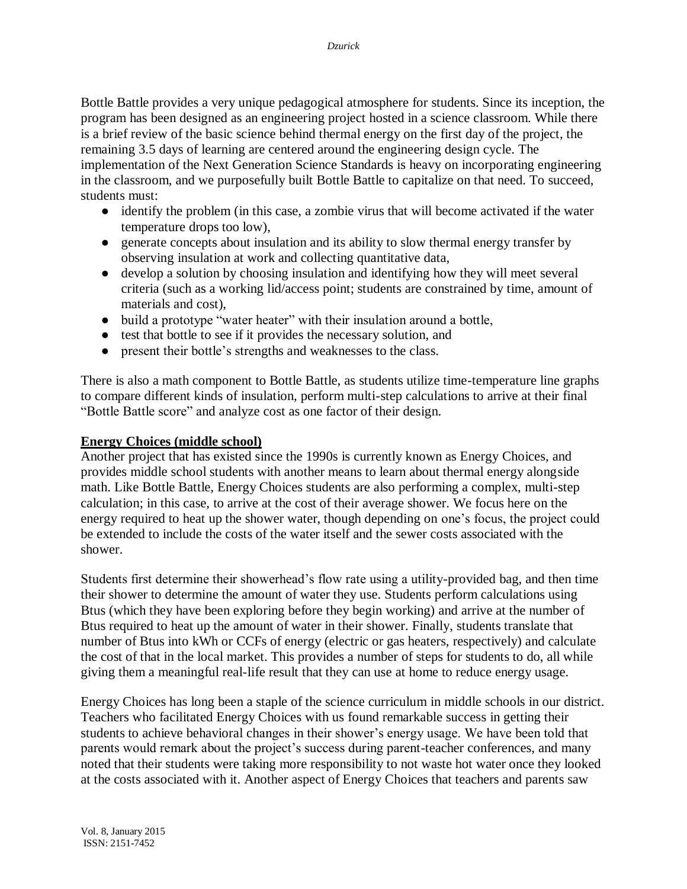Bottle Battle provides a very unique pedagogical atmosphere for students. Since its inception, the program has been designed as an engineering project hosted in a science classroom. While there is a brief review of the basic science behind thermal energy on the first day of the project, the remaining 3.5 days of learning are centered around the engineering design cycle. The implementation of the Next Generation Science Standards is heavy on incorporating engineering in the classroom, and we purposefully built Bottle Battle to capitalize on that need. To succeed, students must:

- identify the problem (in this case, a zombie virus that will become activated if the water temperature drops too low),
- generate concepts about insulation and its ability to slow thermal energy transfer by observing insulation at work and collecting quantitative data,
- develop a solution by choosing insulation and identifying how they will meet several criteria (such as a working lid/access point; students are constrained by time, amount of materials and cost),
- build a prototype "water heater" with their insulation around a bottle,
- test that bottle to see if it provides the necessary solution, and
- present their bottle's strengths and weaknesses to the class.

There is also a math component to Bottle Battle, as students utilize time-temperature line graphs to compare different kinds of insulation, perform multi-step calculations to arrive at their final "Bottle Battle score" and analyze cost as one factor of their design.

# **Energy Choices (middle school)**

Another project that has existed since the 1990s is currently known as Energy Choices, and provides middle school students with another means to learn about thermal energy alongside math. Like Bottle Battle, Energy Choices students are also performing a complex, multi-step calculation; in this case, to arrive at the cost of their average shower. We focus here on the energy required to heat up the shower water, though depending on one's focus, the project could be extended to include the costs of the water itself and the sewer costs associated with the shower.

Students first determine their showerhead's flow rate using a utility-provided bag, and then time their shower to determine the amount of water they use. Students perform calculations using Btus (which they have been exploring before they begin working) and arrive at the number of Btus required to heat up the amount of water in their shower. Finally, students translate that number of Btus into kWh or CCFs of energy (electric or gas heaters, respectively) and calculate the cost of that in the local market. This provides a number of steps for students to do, all while giving them a meaningful real-life result that they can use at home to reduce energy usage.

Energy Choices has long been a staple of the science curriculum in middle schools in our district. Teachers who facilitated Energy Choices with us found remarkable success in getting their students to achieve behavioral changes in their shower's energy usage. We have been told that parents would remark about the project's success during parent-teacher conferences, and many noted that their students were taking more responsibility to not waste hot water once they looked at the costs associated with it. Another aspect of Energy Choices that teachers and parents saw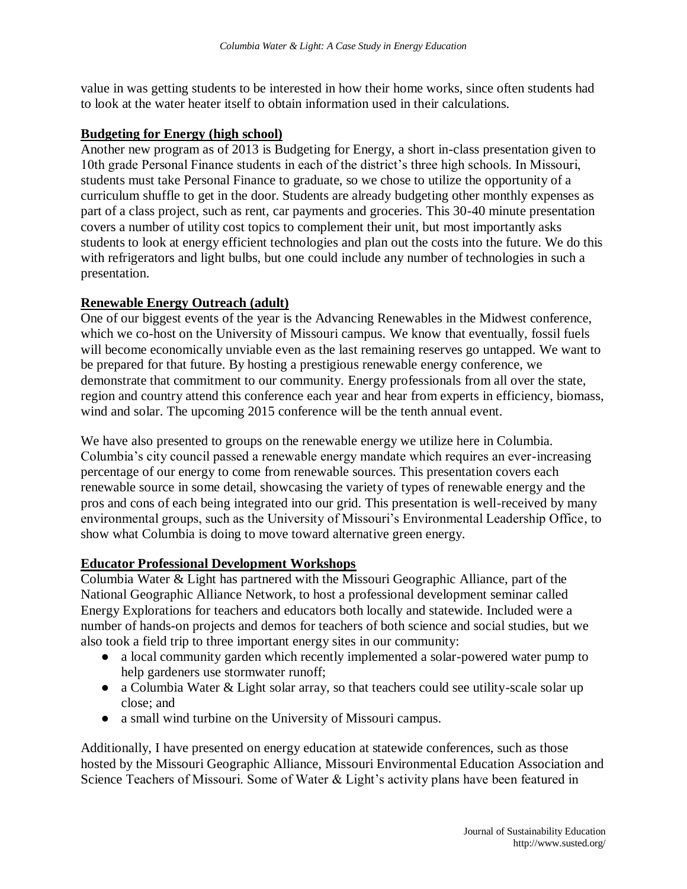value in was getting students to be interested in how their home works, since often students had to look at the water heater itself to obtain information used in their calculations.

#### **Budgeting for Energy (high school)**

Another new program as of 2013 is Budgeting for Energy, a short in-class presentation given to 10th grade Personal Finance students in each of the district's three high schools. In Missouri, students must take Personal Finance to graduate, so we chose to utilize the opportunity of a curriculum shuffle to get in the door. Students are already budgeting other monthly expenses as part of a class project, such as rent, car payments and groceries. This 30-40 minute presentation covers a number of utility cost topics to complement their unit, but most importantly asks students to look at energy efficient technologies and plan out the costs into the future. We do this with refrigerators and light bulbs, but one could include any number of technologies in such a presentation.

### **Renewable Energy Outreach (adult)**

One of our biggest events of the year is the Advancing Renewables in the Midwest conference, which we co-host on the University of Missouri campus. We know that eventually, fossil fuels will become economically unviable even as the last remaining reserves go untapped. We want to be prepared for that future. By hosting a prestigious renewable energy conference, we demonstrate that commitment to our community. Energy professionals from all over the state, region and country attend this conference each year and hear from experts in efficiency, biomass, wind and solar. The upcoming 2015 conference will be the tenth annual event.

We have also presented to groups on the renewable energy we utilize here in Columbia. Columbia's city council passed a renewable energy mandate which requires an ever-increasing percentage of our energy to come from renewable sources. This presentation covers each renewable source in some detail, showcasing the variety of types of renewable energy and the pros and cons of each being integrated into our grid. This presentation is well-received by many environmental groups, such as the University of Missouri's Environmental Leadership Office, to show what Columbia is doing to move toward alternative green energy.

#### **Educator Professional Development Workshops**

Columbia Water & Light has partnered with the Missouri Geographic Alliance, part of the National Geographic Alliance Network, to host a professional development seminar called Energy Explorations for teachers and educators both locally and statewide. Included were a number of hands-on projects and demos for teachers of both science and social studies, but we also took a field trip to three important energy sites in our community:

- a local community garden which recently implemented a solar-powered water pump to help gardeners use stormwater runoff;
- a Columbia Water & Light solar array, so that teachers could see utility-scale solar up close; and
- a small wind turbine on the University of Missouri campus.

Additionally, I have presented on energy education at statewide conferences, such as those hosted by the Missouri Geographic Alliance, Missouri Environmental Education Association and Science Teachers of Missouri. Some of Water & Light's activity plans have been featured in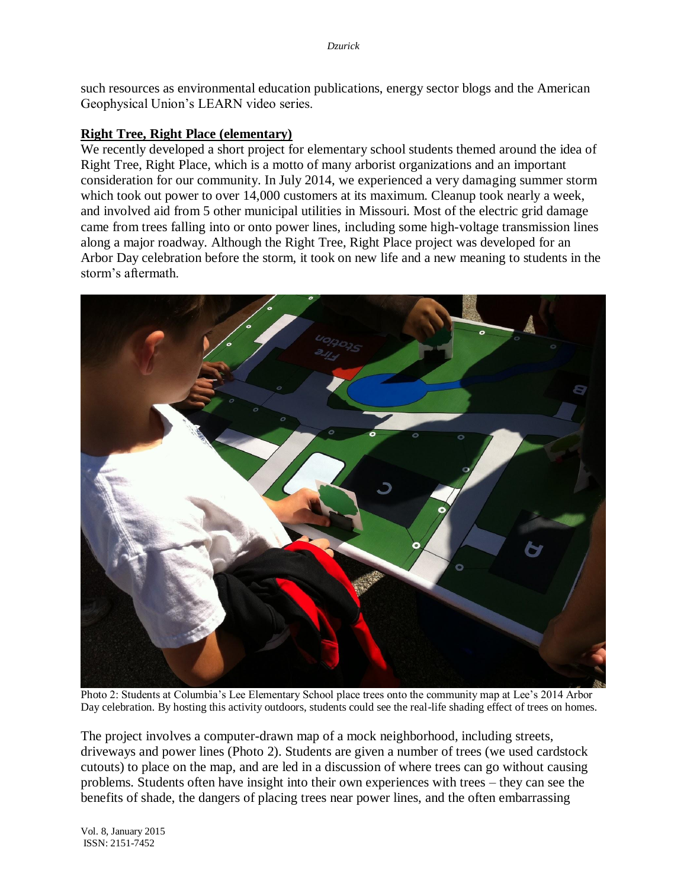such resources as environmental education publications, energy sector blogs and the American Geophysical Union's LEARN video series.

### **Right Tree, Right Place (elementary)**

We recently developed a short project for elementary school students themed around the idea of Right Tree, Right Place, which is a motto of many arborist organizations and an important consideration for our community. In July 2014, we experienced a very damaging summer storm which took out power to over 14,000 customers at its maximum. Cleanup took nearly a week, and involved aid from 5 other municipal utilities in Missouri. Most of the electric grid damage came from trees falling into or onto power lines, including some high-voltage transmission lines along a major roadway. Although the Right Tree, Right Place project was developed for an Arbor Day celebration before the storm, it took on new life and a new meaning to students in the storm's aftermath.



Photo 2: Students at Columbia's Lee Elementary School place trees onto the community map at Lee's 2014 Arbor Day celebration. By hosting this activity outdoors, students could see the real-life shading effect of trees on homes.

The project involves a computer-drawn map of a mock neighborhood, including streets, driveways and power lines (Photo 2). Students are given a number of trees (we used cardstock cutouts) to place on the map, and are led in a discussion of where trees can go without causing problems. Students often have insight into their own experiences with trees – they can see the benefits of shade, the dangers of placing trees near power lines, and the often embarrassing

Vol. 8, January 2015 ISSN: 2151-7452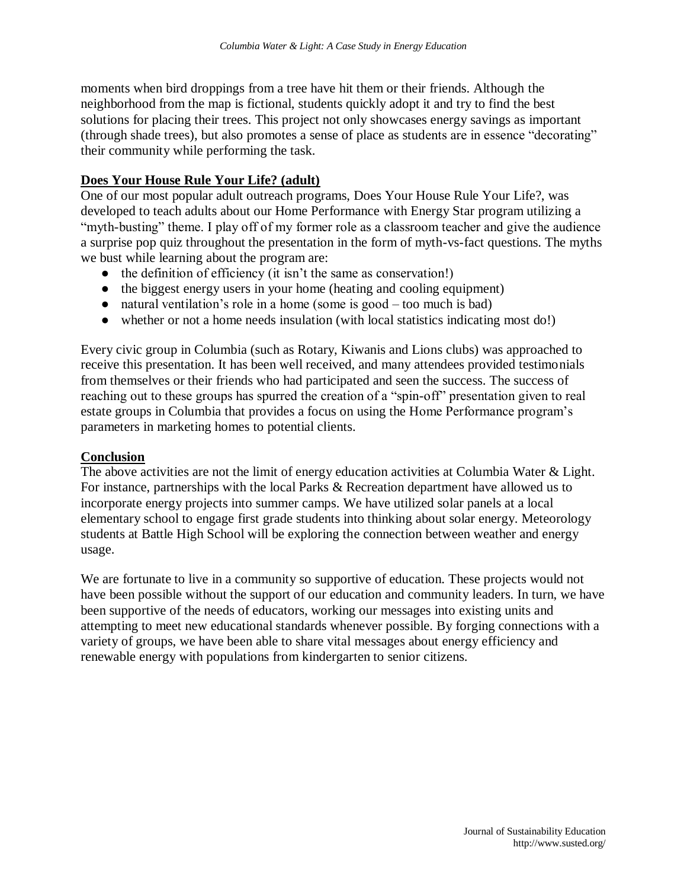moments when bird droppings from a tree have hit them or their friends. Although the neighborhood from the map is fictional, students quickly adopt it and try to find the best solutions for placing their trees. This project not only showcases energy savings as important (through shade trees), but also promotes a sense of place as students are in essence "decorating" their community while performing the task.

### **Does Your House Rule Your Life? (adult)**

One of our most popular adult outreach programs, Does Your House Rule Your Life?, was developed to teach adults about our Home Performance with Energy Star program utilizing a "myth-busting" theme. I play off of my former role as a classroom teacher and give the audience a surprise pop quiz throughout the presentation in the form of myth-vs-fact questions. The myths we bust while learning about the program are:

- the definition of efficiency (it isn't the same as conservation!)
- the biggest energy users in your home (heating and cooling equipment)
- natural ventilation's role in a home (some is good too much is bad)
- whether or not a home needs insulation (with local statistics indicating most do!)

Every civic group in Columbia (such as Rotary, Kiwanis and Lions clubs) was approached to receive this presentation. It has been well received, and many attendees provided testimonials from themselves or their friends who had participated and seen the success. The success of reaching out to these groups has spurred the creation of a "spin-off" presentation given to real estate groups in Columbia that provides a focus on using the Home Performance program's parameters in marketing homes to potential clients.

#### **Conclusion**

The above activities are not the limit of energy education activities at Columbia Water & Light. For instance, partnerships with the local Parks & Recreation department have allowed us to incorporate energy projects into summer camps. We have utilized solar panels at a local elementary school to engage first grade students into thinking about solar energy. Meteorology students at Battle High School will be exploring the connection between weather and energy usage.

We are fortunate to live in a community so supportive of education. These projects would not have been possible without the support of our education and community leaders. In turn, we have been supportive of the needs of educators, working our messages into existing units and attempting to meet new educational standards whenever possible. By forging connections with a variety of groups, we have been able to share vital messages about energy efficiency and renewable energy with populations from kindergarten to senior citizens.